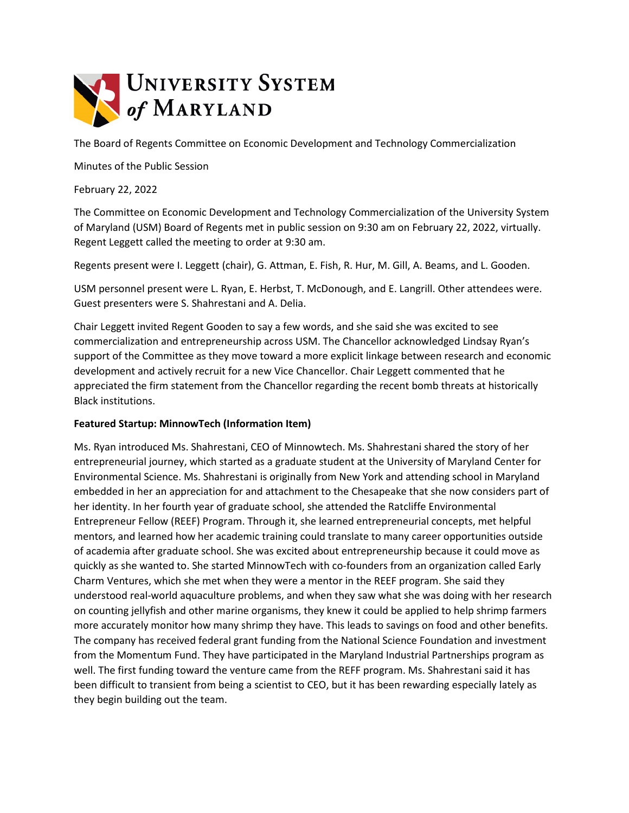

The Board of Regents Committee on Economic Development and Technology Commercialization

Minutes of the Public Session

February 22, 2022

The Committee on Economic Development and Technology Commercialization of the University System of Maryland (USM) Board of Regents met in public session on 9:30 am on February 22, 2022, virtually. Regent Leggett called the meeting to order at 9:30 am.

Regents present were I. Leggett (chair), G. Attman, E. Fish, R. Hur, M. Gill, A. Beams, and L. Gooden.

USM personnel present were L. Ryan, E. Herbst, T. McDonough, and E. Langrill. Other attendees were. Guest presenters were S. Shahrestani and A. Delia.

Chair Leggett invited Regent Gooden to say a few words, and she said she was excited to see commercialization and entrepreneurship across USM. The Chancellor acknowledged Lindsay Ryan's support of the Committee as they move toward a more explicit linkage between research and economic development and actively recruit for a new Vice Chancellor. Chair Leggett commented that he appreciated the firm statement from the Chancellor regarding the recent bomb threats at historically Black institutions.

## **Featured Startup: MinnowTech (Information Item)**

Ms. Ryan introduced Ms. Shahrestani, CEO of Minnowtech. Ms. Shahrestani shared the story of her entrepreneurial journey, which started as a graduate student at the University of Maryland Center for Environmental Science. Ms. Shahrestani is originally from New York and attending school in Maryland embedded in her an appreciation for and attachment to the Chesapeake that she now considers part of her identity. In her fourth year of graduate school, she attended the Ratcliffe Environmental Entrepreneur Fellow (REEF) Program. Through it, she learned entrepreneurial concepts, met helpful mentors, and learned how her academic training could translate to many career opportunities outside of academia after graduate school. She was excited about entrepreneurship because it could move as quickly as she wanted to. She started MinnowTech with co-founders from an organization called Early Charm Ventures, which she met when they were a mentor in the REEF program. She said they understood real-world aquaculture problems, and when they saw what she was doing with her research on counting jellyfish and other marine organisms, they knew it could be applied to help shrimp farmers more accurately monitor how many shrimp they have. This leads to savings on food and other benefits. The company has received federal grant funding from the National Science Foundation and investment from the Momentum Fund. They have participated in the Maryland Industrial Partnerships program as well. The first funding toward the venture came from the REFF program. Ms. Shahrestani said it has been difficult to transient from being a scientist to CEO, but it has been rewarding especially lately as they begin building out the team.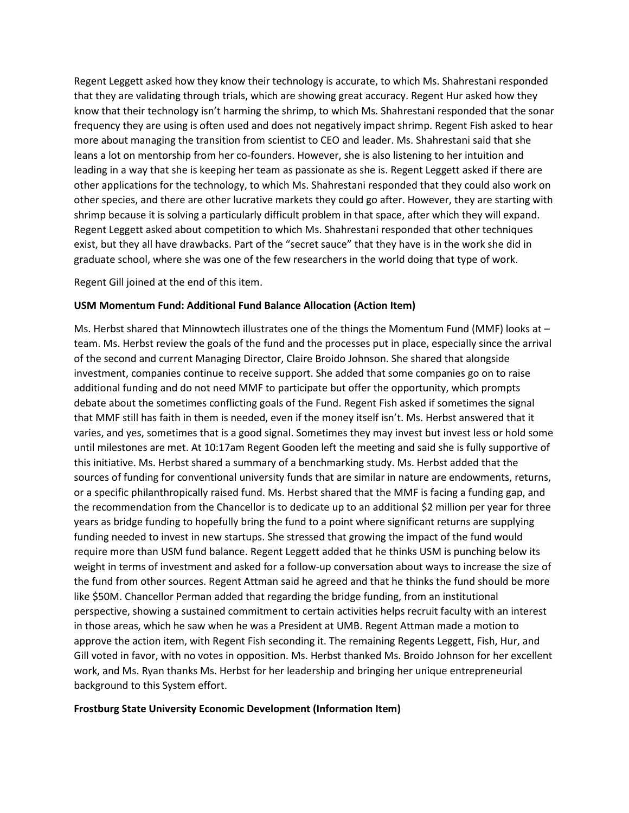Regent Leggett asked how they know their technology is accurate, to which Ms. Shahrestani responded that they are validating through trials, which are showing great accuracy. Regent Hur asked how they know that their technology isn't harming the shrimp, to which Ms. Shahrestani responded that the sonar frequency they are using is often used and does not negatively impact shrimp. Regent Fish asked to hear more about managing the transition from scientist to CEO and leader. Ms. Shahrestani said that she leans a lot on mentorship from her co-founders. However, she is also listening to her intuition and leading in a way that she is keeping her team as passionate as she is. Regent Leggett asked if there are other applications for the technology, to which Ms. Shahrestani responded that they could also work on other species, and there are other lucrative markets they could go after. However, they are starting with shrimp because it is solving a particularly difficult problem in that space, after which they will expand. Regent Leggett asked about competition to which Ms. Shahrestani responded that other techniques exist, but they all have drawbacks. Part of the "secret sauce" that they have is in the work she did in graduate school, where she was one of the few researchers in the world doing that type of work.

Regent Gill joined at the end of this item.

## **USM Momentum Fund: Additional Fund Balance Allocation (Action Item)**

Ms. Herbst shared that Minnowtech illustrates one of the things the Momentum Fund (MMF) looks at – team. Ms. Herbst review the goals of the fund and the processes put in place, especially since the arrival of the second and current Managing Director, Claire Broido Johnson. She shared that alongside investment, companies continue to receive support. She added that some companies go on to raise additional funding and do not need MMF to participate but offer the opportunity, which prompts debate about the sometimes conflicting goals of the Fund. Regent Fish asked if sometimes the signal that MMF still has faith in them is needed, even if the money itself isn't. Ms. Herbst answered that it varies, and yes, sometimes that is a good signal. Sometimes they may invest but invest less or hold some until milestones are met. At 10:17am Regent Gooden left the meeting and said she is fully supportive of this initiative. Ms. Herbst shared a summary of a benchmarking study. Ms. Herbst added that the sources of funding for conventional university funds that are similar in nature are endowments, returns, or a specific philanthropically raised fund. Ms. Herbst shared that the MMF is facing a funding gap, and the recommendation from the Chancellor is to dedicate up to an additional \$2 million per year for three years as bridge funding to hopefully bring the fund to a point where significant returns are supplying funding needed to invest in new startups. She stressed that growing the impact of the fund would require more than USM fund balance. Regent Leggett added that he thinks USM is punching below its weight in terms of investment and asked for a follow-up conversation about ways to increase the size of the fund from other sources. Regent Attman said he agreed and that he thinks the fund should be more like \$50M. Chancellor Perman added that regarding the bridge funding, from an institutional perspective, showing a sustained commitment to certain activities helps recruit faculty with an interest in those areas, which he saw when he was a President at UMB. Regent Attman made a motion to approve the action item, with Regent Fish seconding it. The remaining Regents Leggett, Fish, Hur, and Gill voted in favor, with no votes in opposition. Ms. Herbst thanked Ms. Broido Johnson for her excellent work, and Ms. Ryan thanks Ms. Herbst for her leadership and bringing her unique entrepreneurial background to this System effort.

## **Frostburg State University Economic Development (Information Item)**